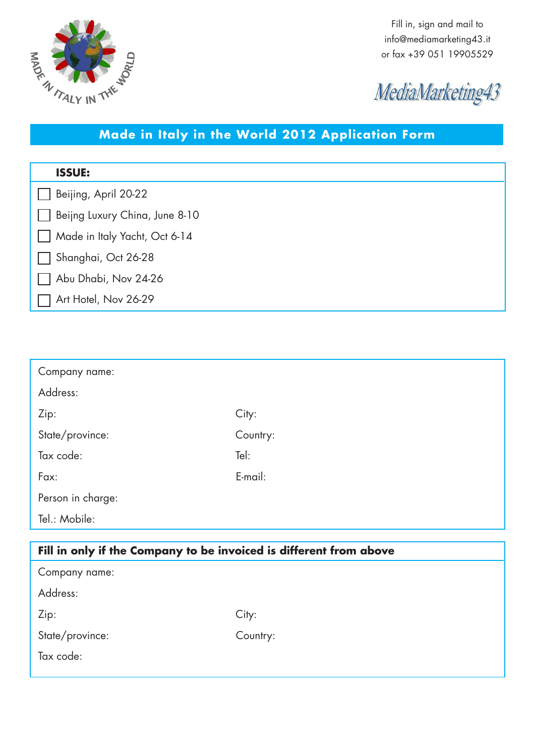

Fill in, sign and mail to info@mediamarketing43.it or fax +39 051 19905529



## **Made in Italy in the World 2012 Application Form**

| <b>ISSUE:</b>                  |
|--------------------------------|
| Beijing, April 20-22           |
| Beijng Luxury China, June 8-10 |
| Made in Italy Yacht, Oct 6-14  |
| Shanghai, Oct 26-28            |
| Abu Dhabi, Nov 24-26           |
| Art Hotel, Nov 26-29           |
|                                |

| Company name:     |          |
|-------------------|----------|
| Address:          |          |
| Zip:              | City:    |
| State/province:   | Country: |
| Tax code:         | Tel:     |
| Fax:              | E-mail:  |
| Person in charge: |          |
| Tel.: Mobile:     |          |

| Fill in only if the Company to be invoiced is different from above |          |  |
|--------------------------------------------------------------------|----------|--|
| Company name:                                                      |          |  |
| Address:                                                           |          |  |
| Zip:                                                               | City:    |  |
| State/province:                                                    | Country: |  |
| Tax code:                                                          |          |  |
|                                                                    |          |  |